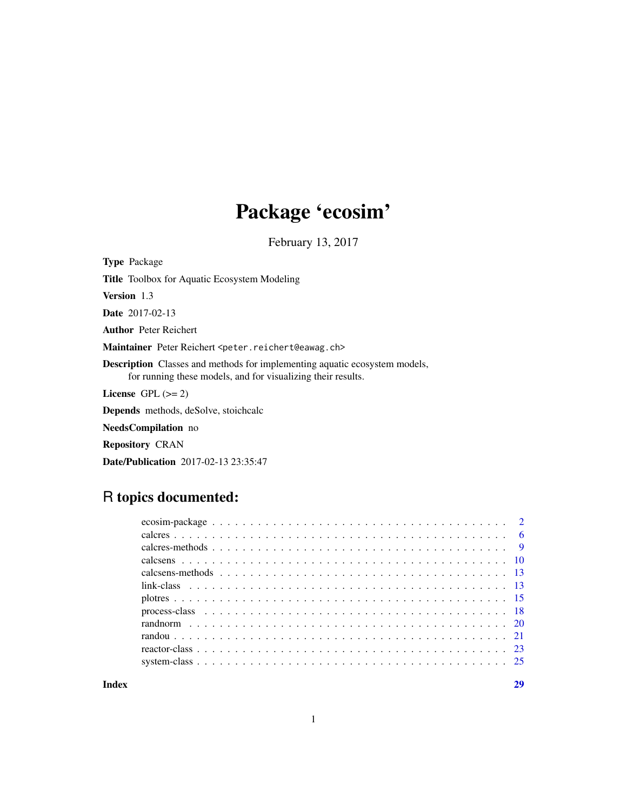# Package 'ecosim'

February 13, 2017

<span id="page-0-0"></span>Type Package Title Toolbox for Aquatic Ecosystem Modeling Version 1.3 Date 2017-02-13 Author Peter Reichert Maintainer Peter Reichert <peter.reichert@eawag.ch> Description Classes and methods for implementing aquatic ecosystem models, for running these models, and for visualizing their results. License GPL  $(>= 2)$ Depends methods, deSolve, stoichcalc NeedsCompilation no Repository CRAN Date/Publication 2017-02-13 23:35:47

# R topics documented:

**Index** [29](#page-28-0)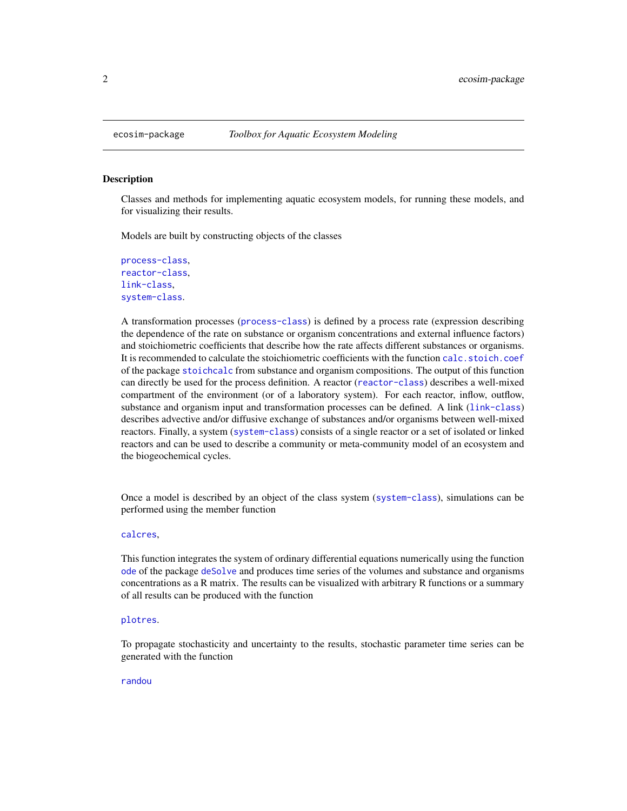<span id="page-1-0"></span>

# Description

Classes and methods for implementing aquatic ecosystem models, for running these models, and for visualizing their results.

Models are built by constructing objects of the classes

[process-class](#page-17-1), [reactor-class](#page-22-1), [link-class](#page-12-1), [system-class](#page-24-1).

A transformation processes ([process-class](#page-17-1)) is defined by a process rate (expression describing the dependence of the rate on substance or organism concentrations and external influence factors) and stoichiometric coefficients that describe how the rate affects different substances or organisms. It is recommended to calculate the stoichiometric coefficients with the function [calc.stoich.coef](#page-0-0) of the package [stoichcalc](#page-0-0) from substance and organism compositions. The output of this function can directly be used for the process definition. A reactor ([reactor-class](#page-22-1)) describes a well-mixed compartment of the environment (or of a laboratory system). For each reactor, inflow, outflow, substance and organism input and transformation processes can be defined. A link ([link-class](#page-12-1)) describes advective and/or diffusive exchange of substances and/or organisms between well-mixed reactors. Finally, a system ([system-class](#page-24-1)) consists of a single reactor or a set of isolated or linked reactors and can be used to describe a community or meta-community model of an ecosystem and the biogeochemical cycles.

Once a model is described by an object of the class system ([system-class](#page-24-1)), simulations can be performed using the member function

# [calcres](#page-5-1),

This function integrates the system of ordinary differential equations numerically using the function [ode](#page-0-0) of the package [deSolve](#page-0-0) and produces time series of the volumes and substance and organisms concentrations as a R matrix. The results can be visualized with arbitrary R functions or a summary of all results can be produced with the function

# [plotres](#page-14-1).

To propagate stochasticity and uncertainty to the results, stochastic parameter time series can be generated with the function

#### [randou](#page-20-1)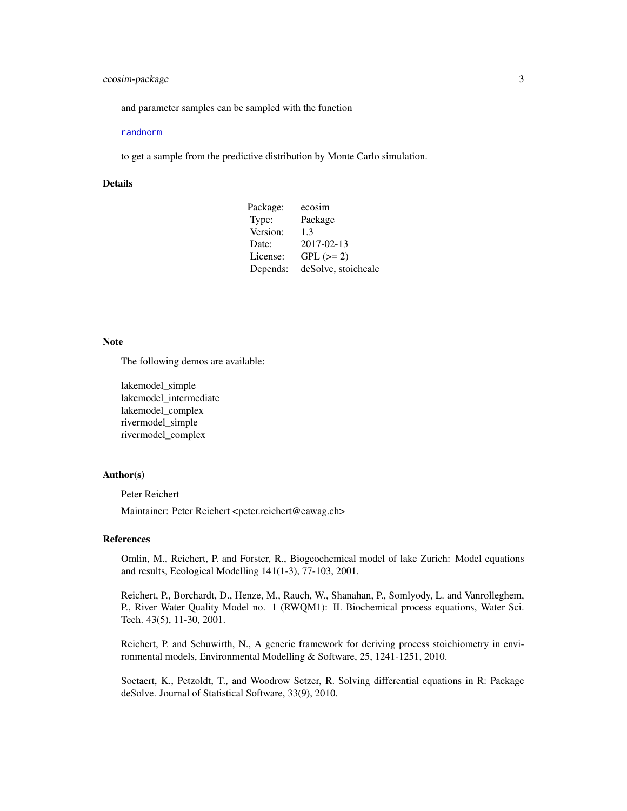# <span id="page-2-0"></span>ecosim-package 3

and parameter samples can be sampled with the function

#### [randnorm](#page-19-1)

to get a sample from the predictive distribution by Monte Carlo simulation.

### Details

| Package: | ecosim              |
|----------|---------------------|
| Type:    | Package             |
| Version: | 1.3                 |
| Date:    | 2017-02-13          |
| License: | $GPL (=2)$          |
| Depends: | deSolve, stoichcalc |

#### Note

The following demos are available:

lakemodel\_simple lakemodel\_intermediate lakemodel\_complex rivermodel\_simple rivermodel\_complex

#### Author(s)

Peter Reichert

Maintainer: Peter Reichert <peter.reichert@eawag.ch>

#### References

Omlin, M., Reichert, P. and Forster, R., Biogeochemical model of lake Zurich: Model equations and results, Ecological Modelling 141(1-3), 77-103, 2001.

Reichert, P., Borchardt, D., Henze, M., Rauch, W., Shanahan, P., Somlyody, L. and Vanrolleghem, P., River Water Quality Model no. 1 (RWQM1): II. Biochemical process equations, Water Sci. Tech. 43(5), 11-30, 2001.

Reichert, P. and Schuwirth, N., A generic framework for deriving process stoichiometry in environmental models, Environmental Modelling & Software, 25, 1241-1251, 2010.

Soetaert, K., Petzoldt, T., and Woodrow Setzer, R. Solving differential equations in R: Package deSolve. Journal of Statistical Software, 33(9), 2010.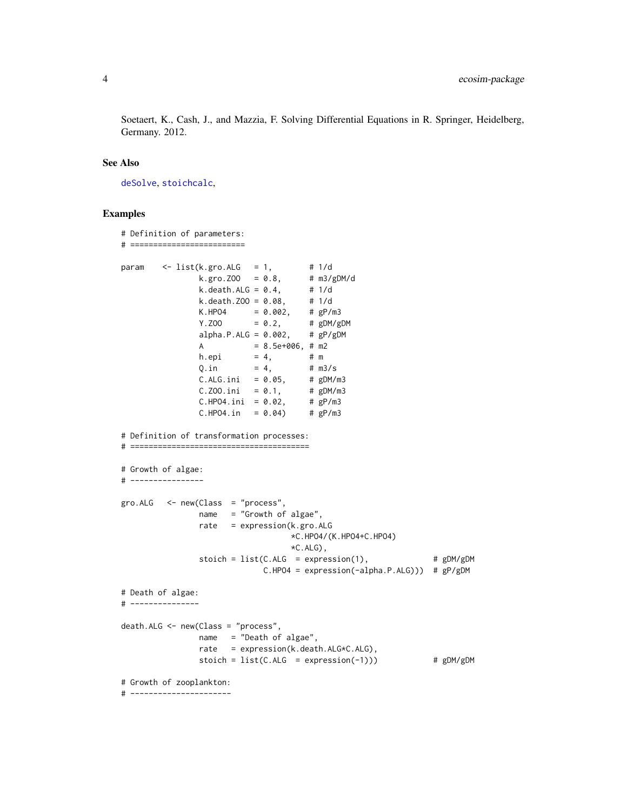<span id="page-3-0"></span>Soetaert, K., Cash, J., and Mazzia, F. Solving Differential Equations in R. Springer, Heidelberg, Germany. 2012.

# See Also

[deSolve](#page-0-0), [stoichcalc](#page-0-0),

```
# Definition of parameters:
# =========================
param \leq list(k.gro.ALG = 1, # 1/d
               k.gro.200 = 0.8, # m3/gDM/dk. death.ALG = 0.4, # 1/dk. death. Z00 = 0.08, # 1/dK.HPO4 = 0.002, # gP/m3Y.ZOO = 0.2, # gDM/gDM
               alpha.P.ALG = 0.002, # gP/gDMA = 8.5e+006, \# m2h.epi = 4, # m
               Q.in = 4, # m3/sC.ALG.ini = 0.05, # gDM/m3<br>C.Z00.ini = 0.1, # gDM/m3C.Z00.ini = 0.1,C.HPO4.ini = 0.02, # gP/m3C.HPO4.in = 0.04 # gP/m3
# Definition of transformation processes:
# =======================================
# Growth of algae:
# ----------------
gro.ALG <- new(Class = "process",
               name = "Growth of algae",
               rate = expression(k.gro.ALG
                                 *C.HPO4/(K.HPO4+C.HPO4)
                                 *C.ALG,
               stoich = list(C.ALG = expression(1), # gDM/gDMC.HPO4 = expression(-alpha.P.ALG))) # gP/gDM
# Death of algae:
# ---------------
death.ALG <- new(Class = "process",
               name = "Death of algae",
               rate = expression(k.death.ALG*C.ALG),
               stoich = list(C.ALG = expression(-1))) # gDM/gDM# Growth of zooplankton:
# ----------------------
```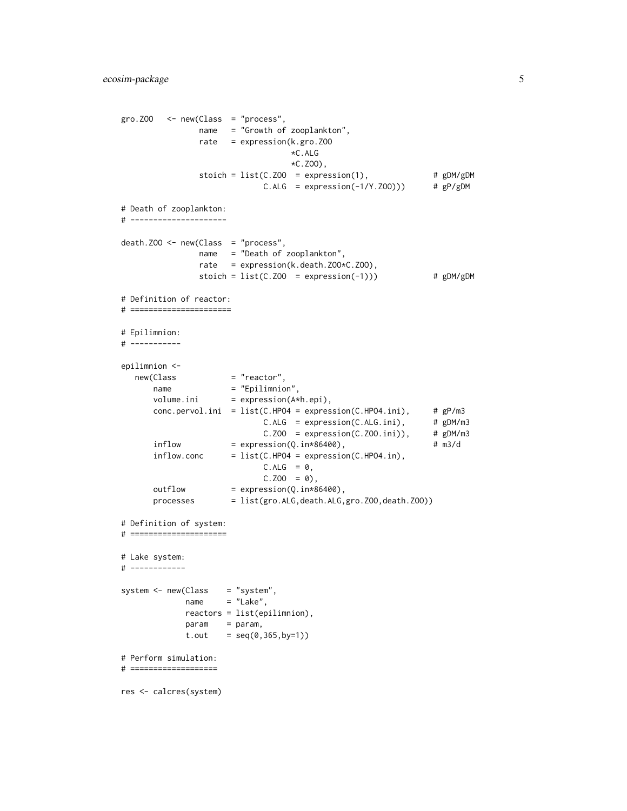```
gro.ZOO <- new(Class = "process",
               name = "Growth of zooplankton",
               rate = expression(k.gro.ZOO
                                 *C.ALG
                                  *C.ZOO),
               stoich = list(C.200 = expression(1), # gDM/gDMC.ALG = expression(-1/Y.ZOO))) # gP/gDM# Death of zooplankton:
# ---------------------
death.ZOO <- new(Class = "process",
               .<br>name = "Death of zooplankton",
               rate = expression(k.death.ZOO*C.ZOO),
               stoich = list(C.Z00 = expression(-1))) # gDM/gDM# Definition of reactor:
# ======================
# Epilimnion:
# -----------
epilimnion <-
  new(Class = "reactor",
      name = "Epilimnion",<br>volume.ini = expression(A*
                    = expression(A*h.epi),
      conc.pervol.ini = list(C.HPO4 = expression(C.HPO4.ini), # gP/m3
                            C.ALG = expression(C.ALG.ini), # gDM/m3C.Z00 = expression(C.Z00.ini)), # gDM/m3inflow = expression(Q.in*86400), # m3/d
      inflow.conc = list(C.HPO4 = expression(C.HPO4.in),
                            C.ALG = 0,
                            C.Z00 = 0,
      outflow = expression(Q.in*86400),
      processes = list(gro.ALG,death.ALG,gro.ZOO,death.ZOO))
# Definition of system:
# =====================
# Lake system:
# ------------
system <- new(Class = "system",
            name = "Lake",
            reactors = list(epilimnion),
            param = param,
            t.out = seq(0, 365, by=1))# Perform simulation:
# ===================
res <- calcres(system)
```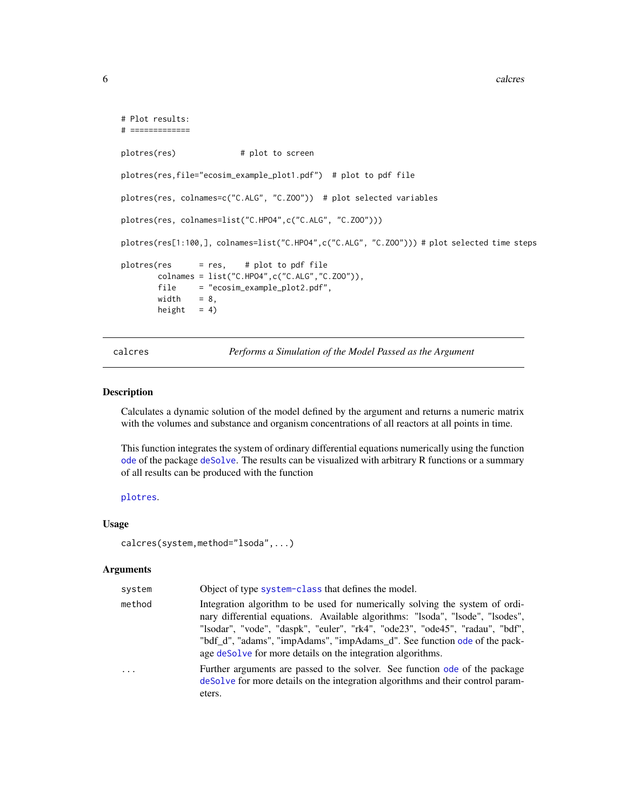```
# Plot results:
# =============
plotres(res) # plot to screen
plotres(res,file="ecosim_example_plot1.pdf") # plot to pdf file
plotres(res, colnames=c("C.ALG", "C.ZOO")) # plot selected variables
plotres(res, colnames=list("C.HPO4",c("C.ALG", "C.ZOO")))
plotres(res[1:100,], colnames=list("C.HPO4",c("C.ALG", "C.ZOO"))) # plot selected time steps
plotres(res = res, # plot to pdf file
       colnames = list("C.HPO4",c("C.ALG","C.ZOO")),
       file = "ecosim_example_plot2.pdf",
       width = 8,height = 4)
```
calcres *Performs a Simulation of the Model Passed as the Argument*

#### Description

Calculates a dynamic solution of the model defined by the argument and returns a numeric matrix with the volumes and substance and organism concentrations of all reactors at all points in time.

This function integrates the system of ordinary differential equations numerically using the function [ode](#page-0-0) of the package [deSolve](#page-0-0). The results can be visualized with arbitrary R functions or a summary of all results can be produced with the function

```
plotres.
```
# Usage

```
calcres(system,method="lsoda",...)
```
# Arguments

| system     | Object of type system-class that defines the model.                                                                                                                                                                                                                                                                                                                                        |
|------------|--------------------------------------------------------------------------------------------------------------------------------------------------------------------------------------------------------------------------------------------------------------------------------------------------------------------------------------------------------------------------------------------|
| method     | Integration algorithm to be used for numerically solving the system of ordi-<br>nary differential equations. Available algorithms: "lsoda", "lsode", "lsodes",<br>"lsodar", "vode", "daspk", "euler", "rk4", "ode23", "ode45", "radau", "bdf",<br>"bdf_d", "adams", "impAdams", "impAdams_d". See function ode of the pack-<br>age desolve for more details on the integration algorithms. |
| $\ddots$ . | Further arguments are passed to the solver. See function ode of the package<br>deSolve for more details on the integration algorithms and their control param-<br>eters.                                                                                                                                                                                                                   |

<span id="page-5-0"></span>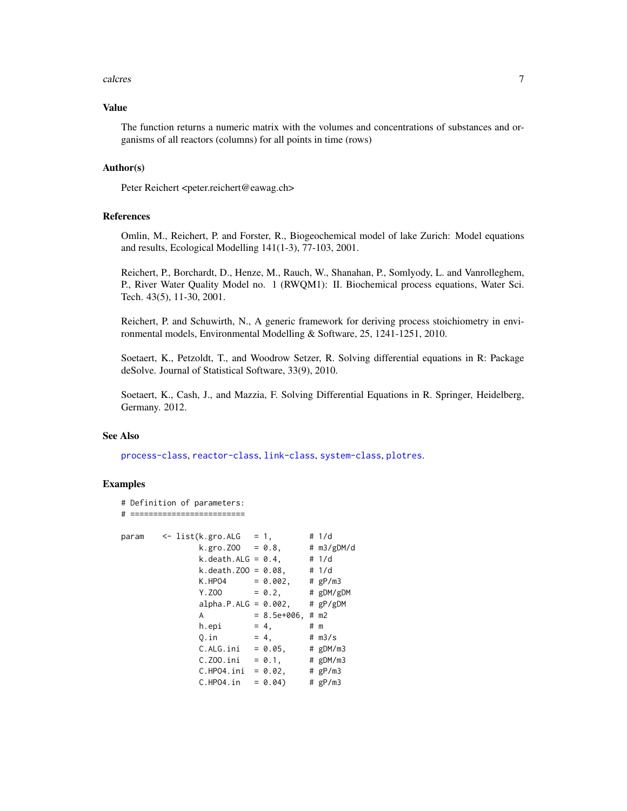#### <span id="page-6-0"></span>calcres  $\sim$  7

#### Value

The function returns a numeric matrix with the volumes and concentrations of substances and organisms of all reactors (columns) for all points in time (rows)

# Author(s)

Peter Reichert <peter.reichert@eawag.ch>

#### References

Omlin, M., Reichert, P. and Forster, R., Biogeochemical model of lake Zurich: Model equations and results, Ecological Modelling 141(1-3), 77-103, 2001.

Reichert, P., Borchardt, D., Henze, M., Rauch, W., Shanahan, P., Somlyody, L. and Vanrolleghem, P., River Water Quality Model no. 1 (RWQM1): II. Biochemical process equations, Water Sci. Tech. 43(5), 11-30, 2001.

Reichert, P. and Schuwirth, N., A generic framework for deriving process stoichiometry in environmental models, Environmental Modelling & Software, 25, 1241-1251, 2010.

Soetaert, K., Petzoldt, T., and Woodrow Setzer, R. Solving differential equations in R: Package deSolve. Journal of Statistical Software, 33(9), 2010.

Soetaert, K., Cash, J., and Mazzia, F. Solving Differential Equations in R. Springer, Heidelberg, Germany. 2012.

#### See Also

[process-class](#page-17-1), [reactor-class](#page-22-1), [link-class](#page-12-1), [system-class](#page-24-1), [plotres](#page-14-1).

# Examples

# Definition of parameters:

```
# =========================
param \leq list(k.gro.ALG = 1, # 1/d
              k.gro. ZOO = 0.8, # m3/gDM/dk. death.ALG = 0.4, # 1/dk. death. Z00 = 0.08, # 1/dK.HPO4 = 0.002, # gP/m3Y. ZOO = 0.2, # gDM/gDMalpha.P.ALG = 0.002, # gP/gDMA = 8.5e+006, # m2
              h.epi = 4, # m
              Q.in = 4, # m3/sC.ALG.ini = 0.05, # gDM/m3<br>C.Z00.ini = 0.1, # gDM/m3C.Z00.ini = 0.1,C.HPO4.ini = 0.02, # gP/m3C.HPO4.in = 0.04 # gP/m3
```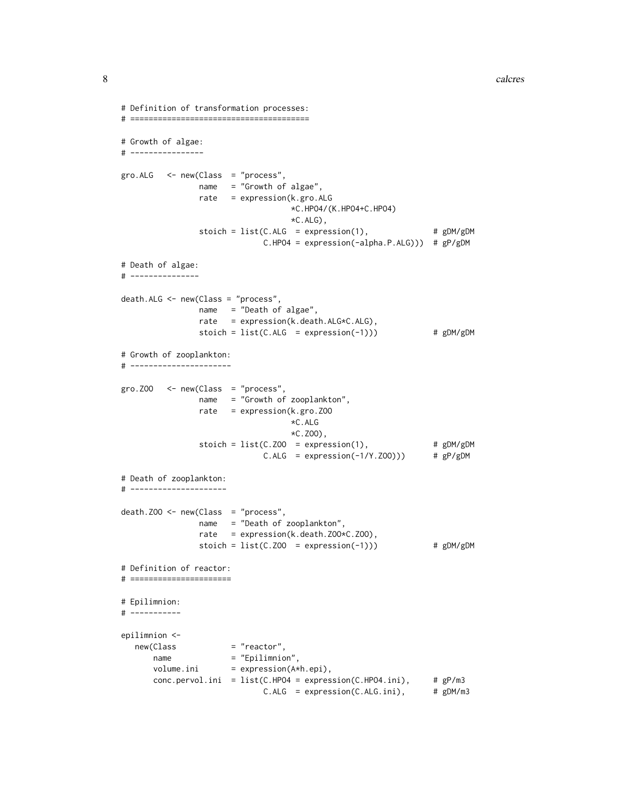```
# Definition of transformation processes:
# =======================================
# Growth of algae:
# ----------------
gro.ALG <- new(Class = "process",
               name = "Growth of algae",
               rate = expression(k.gro.ALG
                                  *C.HPO4/(K.HPO4+C.HPO4)
                                  *C.ALG),
               stoich = list(C.ALG = expression(1), # gDM/gDMC.HPO4 = expression(-alpha.P.ALG))) # gP/gDM
# Death of algae:
# ---------------
death.ALG <- new(Class = "process",
               name = "Death of algae",
               rate = expression(k.death.ALG*C.ALG),
               stoich = list(C.ALG = expression(-1))) # gDM/gDM# Growth of zooplankton:
# ----------------------
gro.ZOO <- new(Class = "process",
               name = "Growth of zooplankton",
               rate = expression(k.gro.ZOO
                                  *C.ALG
                                  *C.ZOO),
                stoich = list(C.Z00 = expression(1), # gDM/gDMC.ALG = expression(-1/Y.ZOO))) # gP/gDM
# Death of zooplankton:
# ---------------------
death.Z00 \leq new(Class = "process",name = "Death of zooplankton",
               rate = expression(k.death.ZOO*C.ZOO),
               stoich = list(C.Z00 = expression(-1))) # gDM/gDM# Definition of reactor:
# ======================
# Epilimnion:
# -----------
epilimnion <-
  new(Class = "reactor",
     name = "Epilimnion",
      volume.ini = cyrriminion,<br>volume.ini = expression(A*h.epi),
      conc.pervol.ini = list(C.HPO4 = expression(C.HPO4.ini), # gP/m3
                             C.ALG = expression(C.ALG.ini), # gDM/m3
```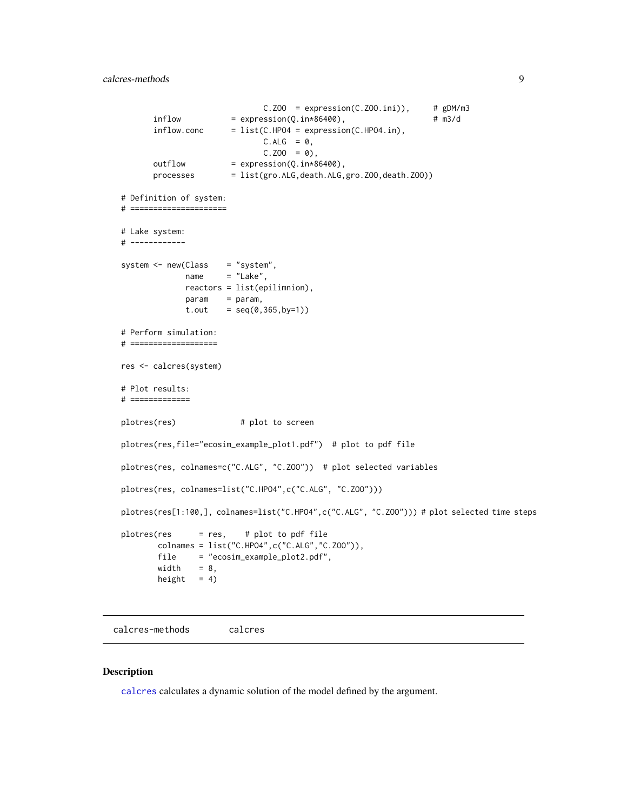```
C.Z00 = expression(C.Z00.ini)), # gDM/m3inflow = expression(Q.in*86400), # m3/d
      inflow.conc = list(C.HPO4 = expression(C.HPO4.in),
                           C.ALG = 0,
                            C.Z00 = 0,
      outflow = expression(Q.in*86400),processes = list(gro.ALG,death.ALG,gro.ZOO,death.ZOO))
# Definition of system:
# =====================
# Lake system:
# ------------
system <- new(Class = "system",
            name = "Lake",reactors = list(epilimnion),
            param = param,
            t.out = seq(0, 365, by=1))# Perform simulation:
# ===================
res <- calcres(system)
# Plot results:
# =============
plotres(res) # plot to screen
plotres(res,file="ecosim_example_plot1.pdf") # plot to pdf file
plotres(res, colnames=c("C.ALG", "C.ZOO")) # plot selected variables
plotres(res, colnames=list("C.HPO4",c("C.ALG", "C.ZOO")))
plotres(res[1:100,], colnames=list("C.HPO4",c("C.ALG", "C.ZOO"))) # plot selected time steps
plotres(res = res, # plot to pdf file
       colnames = list("C.HPO4",c("C.ALG","C.ZOO")),
       file = "ecosim_example_plot2.pdf",
       width = 8,height = 4)
```
<span id="page-8-1"></span>calcres-methods calcres

#### Description

[calcres](#page-5-1) calculates a dynamic solution of the model defined by the argument.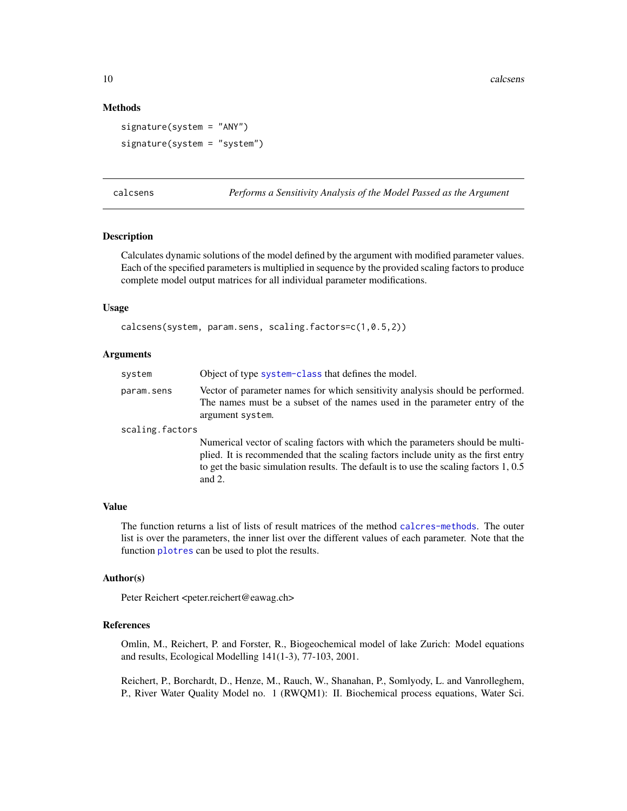# Methods

```
signature(system = "ANY")
signature(system = "system")
```
<span id="page-9-1"></span>

| calcsens |  |
|----------|--|
|          |  |

Performs a Sensitivity Analysis of the Model Passed as the Argument

# Description

Calculates dynamic solutions of the model defined by the argument with modified parameter values. Each of the specified parameters is multiplied in sequence by the provided scaling factors to produce complete model output matrices for all individual parameter modifications.

#### Usage

```
calcsens(system, param.sens, scaling.factors=c(1,0.5,2))
```
# Arguments

| system          | Object of type system-class that defines the model.                                                                                                                             |
|-----------------|---------------------------------------------------------------------------------------------------------------------------------------------------------------------------------|
| param.sens      | Vector of parameter names for which sensitivity analysis should be performed.<br>The names must be a subset of the names used in the parameter entry of the<br>argument system. |
| scaling.factors |                                                                                                                                                                                 |
|                 | Numerical vector of scaling factors with which the parameters should be multi-<br>plied. It is recommended that the scaling factors include unity as the first entry            |

to get the basic simulation results. The default is to use the scaling factors 1, 0.5

#### Value

The function returns a list of lists of result matrices of the method [calcres-methods](#page-8-1). The outer list is over the parameters, the inner list over the different values of each parameter. Note that the function [plotres](#page-14-1) can be used to plot the results.

#### Author(s)

Peter Reichert <peter.reichert@eawag.ch>

and 2.

# References

Omlin, M., Reichert, P. and Forster, R., Biogeochemical model of lake Zurich: Model equations and results, Ecological Modelling 141(1-3), 77-103, 2001.

Reichert, P., Borchardt, D., Henze, M., Rauch, W., Shanahan, P., Somlyody, L. and Vanrolleghem, P., River Water Quality Model no. 1 (RWQM1): II. Biochemical process equations, Water Sci.

<span id="page-9-0"></span>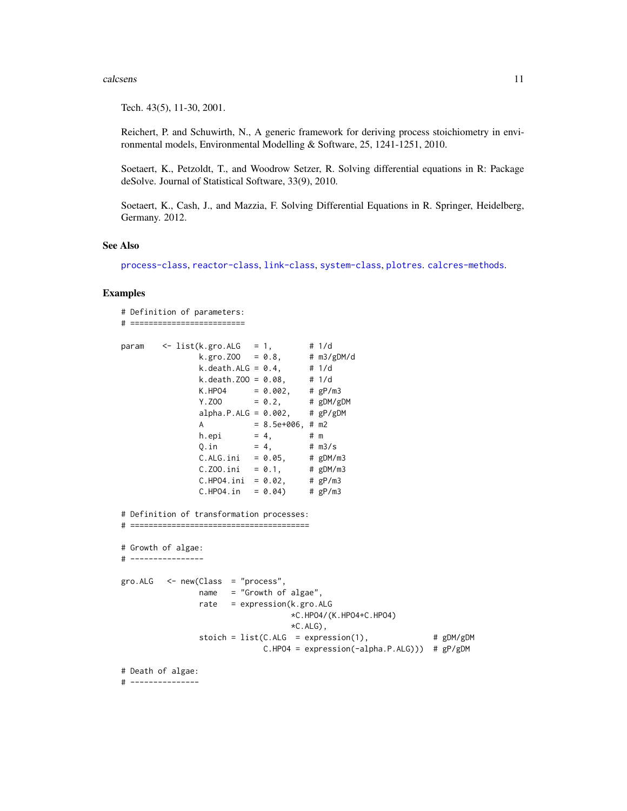#### <span id="page-10-0"></span>calcsens 11

Tech. 43(5), 11-30, 2001.

Reichert, P. and Schuwirth, N., A generic framework for deriving process stoichiometry in environmental models, Environmental Modelling & Software, 25, 1241-1251, 2010.

Soetaert, K., Petzoldt, T., and Woodrow Setzer, R. Solving differential equations in R: Package deSolve. Journal of Statistical Software, 33(9), 2010.

Soetaert, K., Cash, J., and Mazzia, F. Solving Differential Equations in R. Springer, Heidelberg, Germany. 2012.

#### See Also

[process-class](#page-17-1), [reactor-class](#page-22-1), [link-class](#page-12-1), [system-class](#page-24-1), [plotres](#page-14-1). [calcres-methods](#page-8-1).

```
# Definition of parameters:
# =========================
param <- list(k.gro.ALG = 1, # 1/d
                 k.gro.ZOO = 0.8, # m3/gDM/d
                 k.gro. Z00 = 0.8, # m3/gDM/d<br>k.death.ALG = 0.4, # 1/d<br>k.death.Z00 = 0.08, # 1/d
                 k.death.ZOO = 0.08,
                 K.HPO4 = 0.002, # gP/m3Y. ZOO = 0.2, # gDM/gDMalpha.P.ALG = 0.002, # gP/gDMA = 8.5e+006, # m2
                 h.epi = 4, # mQ.in = 4, \# m3/s<br>C.ALG.ini = 0.05, \# gDM/m3
                 C.ALG.ini = 0.05, # gDM/m3<br>C.Z00.ini = 0.1, # gDM/m3C.ZOO.ini = 0.1, # gDM/m3<br>C.HPO4.ini = 0.02, # gP/m3
                 C.HPO4.ini = 0.02,C.HPO4.in = 0.04 # gP/m3
# Definition of transformation processes:
# =======================================
# Growth of algae:
# ----------------
gro.ALG < -new(Class = "process".name = "Growth of algae",
                 rate = expression(k.gro.ALG
                                     *C.HPO4/(K.HPO4+C.HPO4)
                                     *C.ALG),
                 stoich = list(C.ALG = expression(1), # gDM/gDMC.HPO4 = expression(-alpha.P.ALG))) # gP/gDM
# Death of algae:
# ---------------
```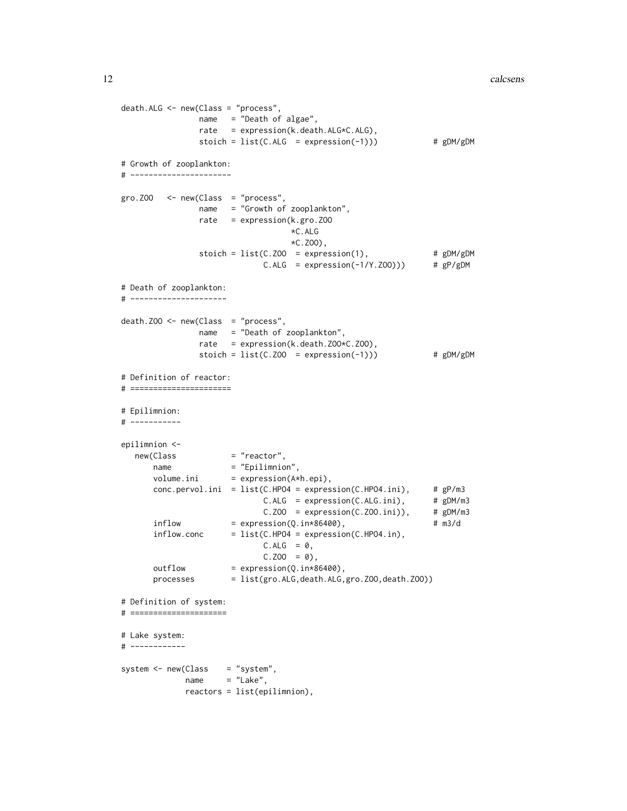```
death.ALG <- new(Class = "process",
               name = "Death of algae",
               rate = expression(k.death.ALG*C.ALG),
               stoich = list(C.ALG = expression(-1))) # gDM/gDM# Growth of zooplankton:
# ----------------------
gro. Z00 < - new(Class = "process",name = "Growth of zooplankton",
               rate = expression(k.gro.ZOO
                                  *C.ALG
                                  *C.ZOO),
               stoich = list(C.Z00 = expression(1), # gDM/gDMC.ALG = expression(-1/Y.Z00)) # gP/gDM# Death of zooplankton:
# ---------------------
death.ZOO <- new(Class = "process",
               name = "Death of zooplankton",
               rate = expression(k.death. Z00*C. Z00),
               stoich = list(C.Z00 = expression(-1))) # gDM/gDM# Definition of reactor:
# ======================
# Epilimnion:
# -----------
epilimnion <-
   new(Class = "reactor",
      name = "Epilimnion",
      volume.ini = expression(A*h.\text{epi}),conc.pervol.ini = list(C.HPO4 = expression(C.HPO4.ini), # gP/m3
                            C.ALG = expression(C.ALG.ini), # gDM/m3<br>C.ZOO = expression(C.ZOO.ini)), # gDM/m3C.Z00 = expression(C.Z00.ini)),inflow = expression(Q.in*86400), # m3/d
      inflow.conc = list(C.HPO4 = expression(C.HPO4.in),
                            C.ALG = 0,
                            C.Z00 = 0,
      outflow = expression(Q.in*86400),
      processes = list(gro.ALG,death.ALG,gro.ZOO,death.ZOO))
# Definition of system:
# =====================
# Lake system:
# ------------
system <- new(Class = "system",
            name = "Lake",reactors = list(epilimnion),
```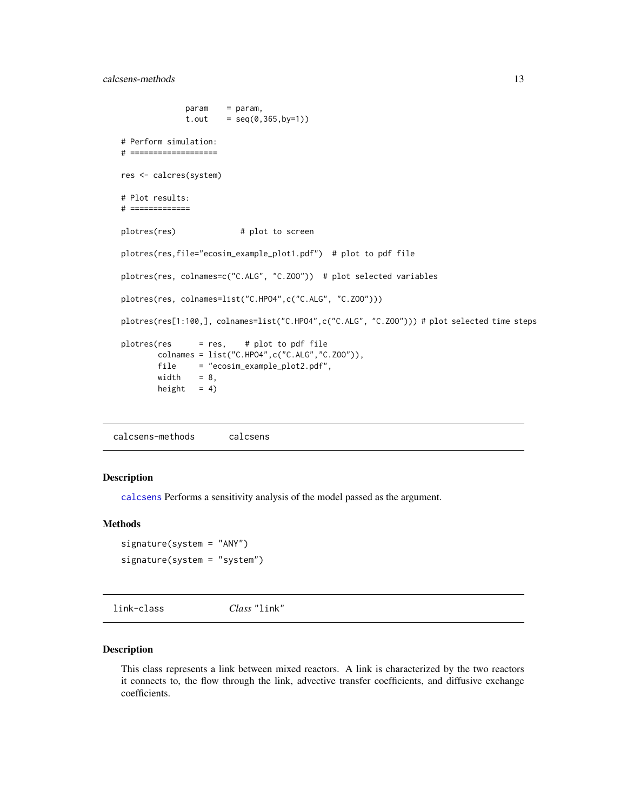```
param = param,
             t.out = seq(0, 365, by=1))# Perform simulation:
# ===================
res <- calcres(system)
# Plot results:
# =============
plotres(res) # plot to screen
plotres(res,file="ecosim_example_plot1.pdf") # plot to pdf file
plotres(res, colnames=c("C.ALG", "C.ZOO")) # plot selected variables
plotres(res, colnames=list("C.HPO4",c("C.ALG", "C.ZOO")))
plotres(res[1:100,], colnames=list("C.HPO4",c("C.ALG", "C.ZOO"))) # plot selected time steps
plots = res, # plot to pdf filecolnames = list("C.HPO4",c("C.ALG","C.ZOO")),
       file = "ecosim_example_plot2.pdf",
       width = 8,height = 4)
```
calcsens-methods calcsens

#### Description

[calcsens](#page-9-1) Performs a sensitivity analysis of the model passed as the argument.

# Methods

```
signature(system = "ANY")
signature(system = "system")
```
<span id="page-12-1"></span>link-class *Class* "link"

# Description

This class represents a link between mixed reactors. A link is characterized by the two reactors it connects to, the flow through the link, advective transfer coefficients, and diffusive exchange coefficients.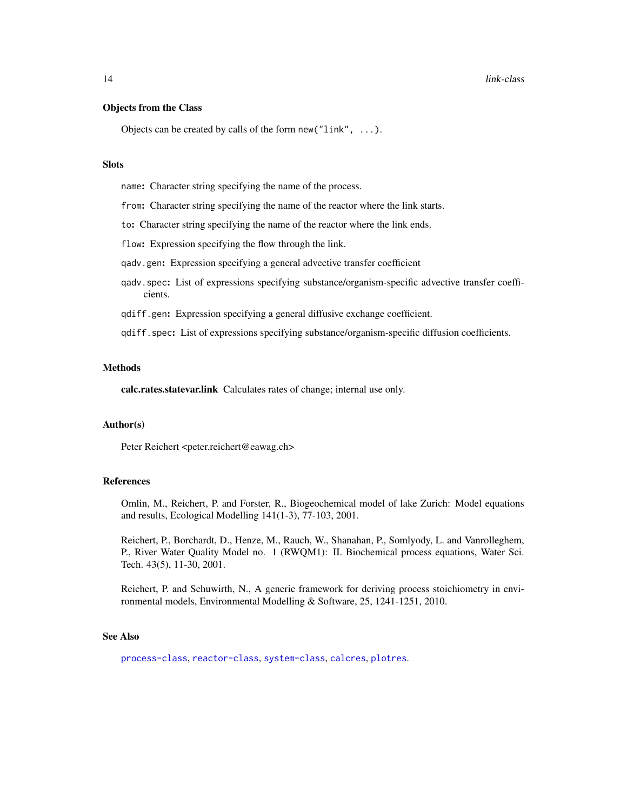# <span id="page-13-0"></span>Objects from the Class

Objects can be created by calls of the form new (" $link$ ", ...).

# **Slots**

name: Character string specifying the name of the process.

from: Character string specifying the name of the reactor where the link starts.

to: Character string specifying the name of the reactor where the link ends.

flow: Expression specifying the flow through the link.

qadv.gen: Expression specifying a general advective transfer coefficient

- qadv.spec: List of expressions specifying substance/organism-specific advective transfer coefficients.
- qdiff.gen: Expression specifying a general diffusive exchange coefficient.
- qdiff.spec: List of expressions specifying substance/organism-specific diffusion coefficients.

#### Methods

calc.rates.statevar.link Calculates rates of change; internal use only.

#### Author(s)

Peter Reichert <peter.reichert@eawag.ch>

#### **References**

Omlin, M., Reichert, P. and Forster, R., Biogeochemical model of lake Zurich: Model equations and results, Ecological Modelling 141(1-3), 77-103, 2001.

Reichert, P., Borchardt, D., Henze, M., Rauch, W., Shanahan, P., Somlyody, L. and Vanrolleghem, P., River Water Quality Model no. 1 (RWQM1): II. Biochemical process equations, Water Sci. Tech. 43(5), 11-30, 2001.

Reichert, P. and Schuwirth, N., A generic framework for deriving process stoichiometry in environmental models, Environmental Modelling & Software, 25, 1241-1251, 2010.

# See Also

[process-class](#page-17-1), [reactor-class](#page-22-1), [system-class](#page-24-1), [calcres](#page-5-1), [plotres](#page-14-1).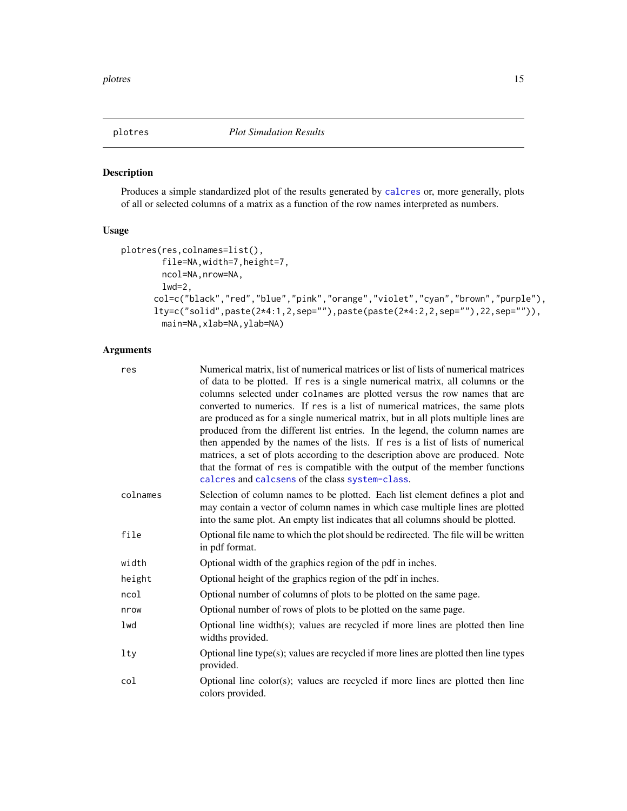<span id="page-14-1"></span><span id="page-14-0"></span>

# Description

Produces a simple standardized plot of the results generated by [calcres](#page-5-1) or, more generally, plots of all or selected columns of a matrix as a function of the row names interpreted as numbers.

# Usage

```
plotres(res,colnames=list(),
        file=NA,width=7,height=7,
        ncol=NA,nrow=NA,
        1wd=2,
      col=c("black","red","blue","pink","orange","violet","cyan","brown","purple"),
      lty=c("solid",paste(2*4:1,2,sep=""),paste(paste(2*4:2,2,sep=""),22,sep="")),
        main=NA,xlab=NA,ylab=NA)
```
# Arguments

| res      | Numerical matrix, list of numerical matrices or list of lists of numerical matrices<br>of data to be plotted. If res is a single numerical matrix, all columns or the<br>columns selected under colnames are plotted versus the row names that are<br>converted to numerics. If res is a list of numerical matrices, the same plots<br>are produced as for a single numerical matrix, but in all plots multiple lines are<br>produced from the different list entries. In the legend, the column names are<br>then appended by the names of the lists. If res is a list of lists of numerical<br>matrices, a set of plots according to the description above are produced. Note<br>that the format of res is compatible with the output of the member functions<br>calcres and calcsens of the class system-class. |
|----------|--------------------------------------------------------------------------------------------------------------------------------------------------------------------------------------------------------------------------------------------------------------------------------------------------------------------------------------------------------------------------------------------------------------------------------------------------------------------------------------------------------------------------------------------------------------------------------------------------------------------------------------------------------------------------------------------------------------------------------------------------------------------------------------------------------------------|
| colnames | Selection of column names to be plotted. Each list element defines a plot and<br>may contain a vector of column names in which case multiple lines are plotted<br>into the same plot. An empty list indicates that all columns should be plotted.                                                                                                                                                                                                                                                                                                                                                                                                                                                                                                                                                                  |
| file     | Optional file name to which the plot should be redirected. The file will be written<br>in pdf format.                                                                                                                                                                                                                                                                                                                                                                                                                                                                                                                                                                                                                                                                                                              |
| width    | Optional width of the graphics region of the pdf in inches.                                                                                                                                                                                                                                                                                                                                                                                                                                                                                                                                                                                                                                                                                                                                                        |
| height   | Optional height of the graphics region of the pdf in inches.                                                                                                                                                                                                                                                                                                                                                                                                                                                                                                                                                                                                                                                                                                                                                       |
| ncol     | Optional number of columns of plots to be plotted on the same page.                                                                                                                                                                                                                                                                                                                                                                                                                                                                                                                                                                                                                                                                                                                                                |
| nrow     | Optional number of rows of plots to be plotted on the same page.                                                                                                                                                                                                                                                                                                                                                                                                                                                                                                                                                                                                                                                                                                                                                   |
| lwd      | Optional line width(s); values are recycled if more lines are plotted then line<br>widths provided.                                                                                                                                                                                                                                                                                                                                                                                                                                                                                                                                                                                                                                                                                                                |
| lty      | Optional line type(s); values are recycled if more lines are plotted then line types<br>provided.                                                                                                                                                                                                                                                                                                                                                                                                                                                                                                                                                                                                                                                                                                                  |
| col      | Optional line $color(s)$ ; values are recycled if more lines are plotted then line<br>colors provided.                                                                                                                                                                                                                                                                                                                                                                                                                                                                                                                                                                                                                                                                                                             |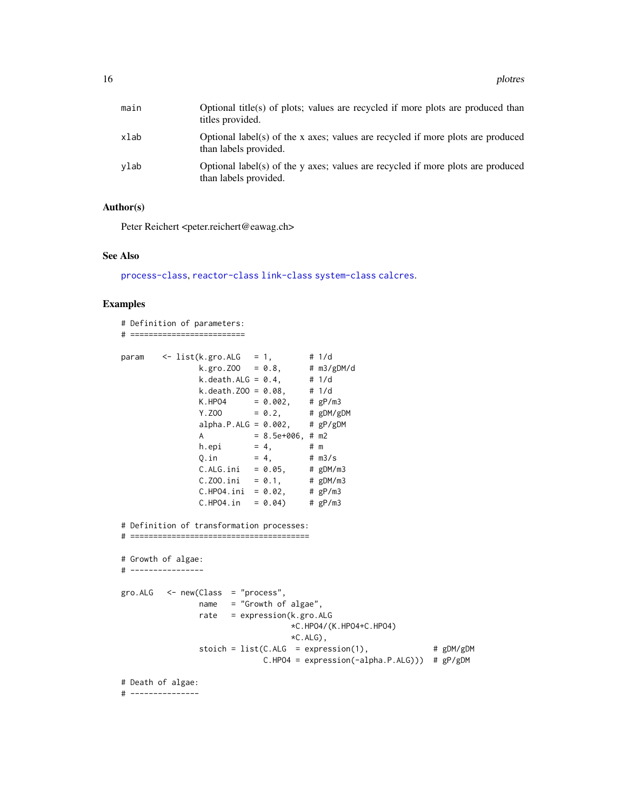<span id="page-15-0"></span>

| main | Optional title(s) of plots; values are recycled if more plots are produced than<br>titles provided.      |
|------|----------------------------------------------------------------------------------------------------------|
| xlab | Optional label(s) of the x axes; values are recycled if more plots are produced<br>than labels provided. |
| ylab | Optional label(s) of the y axes; values are recycled if more plots are produced<br>than labels provided. |

# Author(s)

Peter Reichert <peter.reichert@eawag.ch>

# See Also

[process-class](#page-17-1), [reactor-class](#page-22-1) [link-class](#page-12-1) [system-class](#page-24-1) [calcres](#page-5-1).

```
# Definition of parameters:
# =========================
param <- list(k.gro.ALG = 1, # 1/d
                 k.gro.ZOO = 0.8, # m3/gDM/d
                 k.death.ALG = 0.4, # 1/dk. death. Z00 = 0.08, # 1/dK.HPO4 = 0.002, # gP/m3Y. ZOO = 0.2, # gDM/gDMalpha.P.ALG = 0.002, \# gP/gDM
                A = 8.5e+006, # m2
                h.epi = 4, # m<br>Q.in = 4, # m3/s
                Q.in = 4, # m3/s<br>C.ALG.ini = 0.05, # gDM/m3<br>C.Z00.ini = 0.1, # gDM/m3
                C. ALG. ini = 0.05,
                C.ZOO.ini = 0.1, # gDM/m<br>C.HPO4.ini = 0.02, # gP/m3
                C.HPO4.ini = 0.02,C.HPO4.in = 0.04 # gP/m3# Definition of transformation processes:
# =======================================
# Growth of algae:
# ----------------
gro.ALG < - new(Class = "process",name = "Growth of algae",
                rate = expression(k.gro.ALG
                                    *C.HPO4/(K.HPO4+C.HPO4)
                                    *C.ALG),
                stoich = list(C.ALG = expression(1), # gDM/gDMC.HPO4 = expression(-alpha.P.ALG))) # gP/gDM
# Death of algae:
# ---------------
```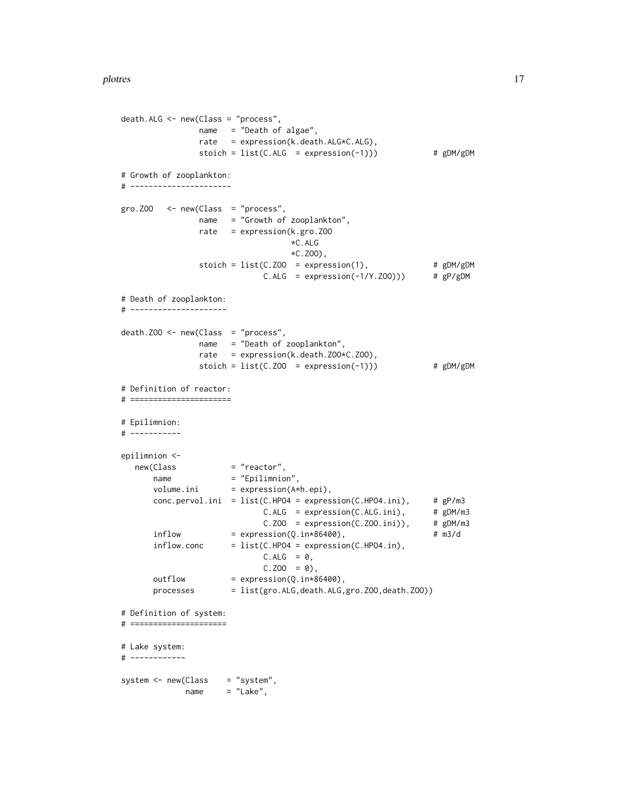```
death.ALG <- new(Class = "process",
               name = "Death of algae",
               rate = expression(k.death.ALG*C.ALG),
               stoich = list(C.ALG = expression(-1))) # gDM/gDM
# Growth of zooplankton:
# ----------------------
gro. ZOO < - new(Class = "process",name = "Growth of zooplankton",
               rate = expression(k.gro.ZOO
                                 *C.ALG
                                 *C.ZOO),
               stoich = list(C.ZOO = expression(1), # gDM/gDM<br>C.ALG = expression(-1/Y.ZOO))) # gP/gDM
                            C.ALG = expression(-1/Y.Z00)) # gP/gDM# Death of zooplankton:
# ---------------------
death.ZOO <- new(Class = "process",
               name = "Death of zooplankton",
               rate = expression(k.death.ZOO*C.ZOO),
               stoich = list(C.ZOO = expression(-1))) # gDM/gDM
# Definition of reactor:
# ======================
# Epilimnion:
# -----------
epilimnion <-
  new(Class = "reactor",
      name = "Epilimnion",
      volume.ini = expression(A*h.epi),
      conc.pervol.ini = list(C.HPO4 = expression(C.HPO4.ini), # gp/m3C.ALG = expression(C.ALG.ini), # gDM/m3C.Z00 = expression(C.Z00.ini)), # gDM/m3inflow = expression(Q.in*86400), # m3/d
      inflow.conc = list(C.HPO4 = expression(C.HPO4.in),
                            C.ALG = 0,C.Z00 = 0,
      outflow = expression(Q.in*86400),
      processes = list(gro.ALG,death.ALG,gro.ZOO,death.ZOO))
# Definition of system:
# =====================
# Lake system:
# ------------
system <- new(Class = "system",
            name = "Lake",
```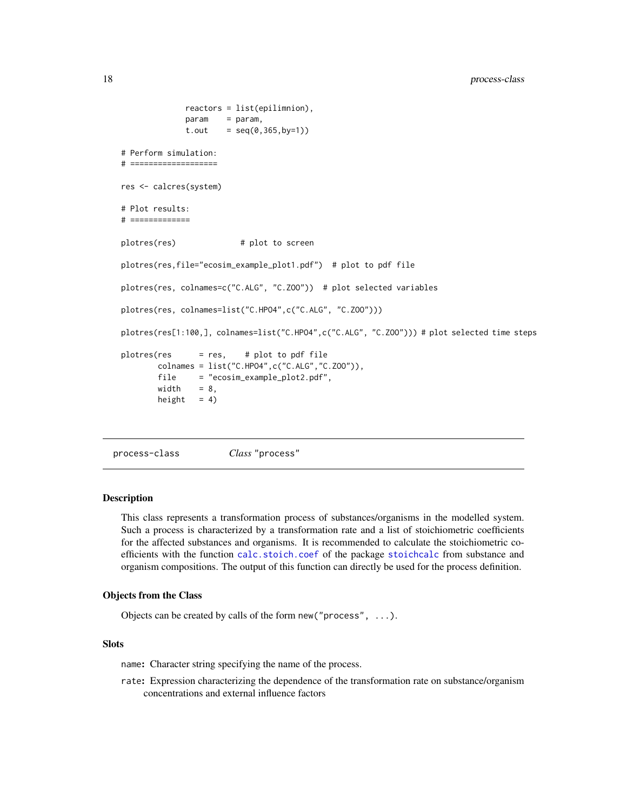```
reactors = list(epilimnion),
             param = param,
             t.out = seq(0, 365, by=1))# Perform simulation:
# ===================
res <- calcres(system)
# Plot results:
# =============
plotres(res) # plot to screen
plotres(res,file="ecosim_example_plot1.pdf") # plot to pdf file
plotres(res, colnames=c("C.ALG", "C.ZOO")) # plot selected variables
plotres(res, colnames=list("C.HPO4",c("C.ALG", "C.ZOO")))
plotres(res[1:100,], colnames=list("C.HPO4",c("C.ALG", "C.ZOO"))) # plot selected time steps
plotres(res = res, # plot to pdf file
       colnames = list("C.HPO4",c("C.ALG","C.ZOO")),
       file = "ecosim_example_plot2.pdf",
       width = 8,height = 4)
```

```
process-class Class "process"
```
# Description

This class represents a transformation process of substances/organisms in the modelled system. Such a process is characterized by a transformation rate and a list of stoichiometric coefficients for the affected substances and organisms. It is recommended to calculate the stoichiometric coefficients with the function [calc.stoich.coef](#page-0-0) of the package [stoichcalc](#page-0-0) from substance and organism compositions. The output of this function can directly be used for the process definition.

# Objects from the Class

Objects can be created by calls of the form new("process", ...).

# **Slots**

name: Character string specifying the name of the process.

rate: Expression characterizing the dependence of the transformation rate on substance/organism concentrations and external influence factors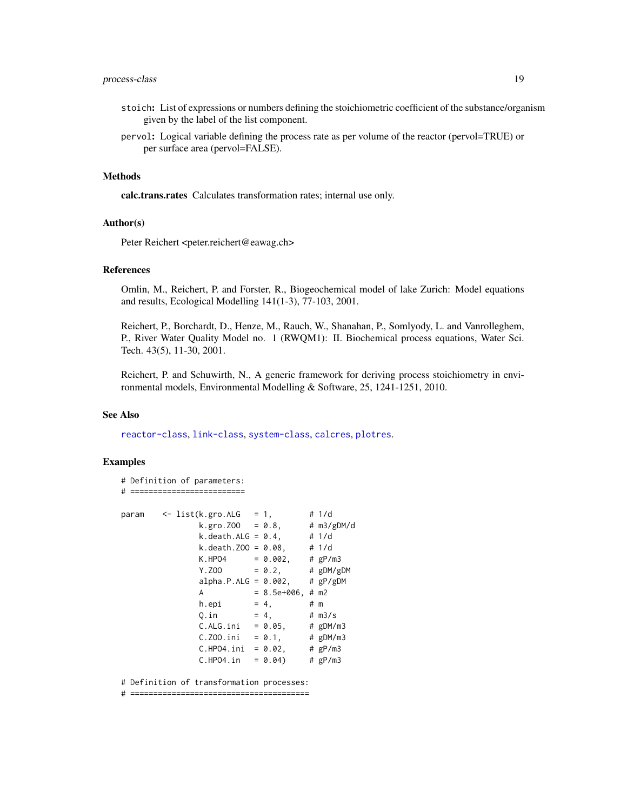# <span id="page-18-0"></span>process-class 19

- stoich: List of expressions or numbers defining the stoichiometric coefficient of the substance/organism given by the label of the list component.
- pervol: Logical variable defining the process rate as per volume of the reactor (pervol=TRUE) or per surface area (pervol=FALSE).

#### Methods

calc.trans.rates Calculates transformation rates; internal use only.

#### Author(s)

Peter Reichert <peter.reichert@eawag.ch>

### References

Omlin, M., Reichert, P. and Forster, R., Biogeochemical model of lake Zurich: Model equations and results, Ecological Modelling 141(1-3), 77-103, 2001.

Reichert, P., Borchardt, D., Henze, M., Rauch, W., Shanahan, P., Somlyody, L. and Vanrolleghem, P., River Water Quality Model no. 1 (RWQM1): II. Biochemical process equations, Water Sci. Tech. 43(5), 11-30, 2001.

Reichert, P. and Schuwirth, N., A generic framework for deriving process stoichiometry in environmental models, Environmental Modelling & Software, 25, 1241-1251, 2010.

#### See Also

[reactor-class](#page-22-1), [link-class](#page-12-1), [system-class](#page-24-1), [calcres](#page-5-1), [plotres](#page-14-1).

# Examples

```
# Definition of parameters:
# =========================
param <- list(k.gro.ALG = 1, # 1/d<br>k.gro.Z00 = 0.8, # m3/gDM/d
                k.gro. Z00 = 0.8,k. death.ALG = 0.4, # 1/dk. death. Z00 = 0.08, # 1/dK.HPO4 = 0.002, # gP/m3Y. ZOO = 0.2, # gDM/gDMalpha.P.ALG = 0.002, # gP/gDMA = 8.5e+006, # m2
                h.epi = 4, # m
                Q.in = 4, # m3/sC.ALG.ini = 0.05, # gDM/m3<br>C.Z00.ini = 0.1, # gDM/m3<br>C.HP04.ini = 0.02, # gP/m3
                C.Z00.ini = 0.1,C.HPO4.ini = 0.02,C.HPO4.in = 0.04 # gP/m3
```
# Definition of transformation processes:

# =======================================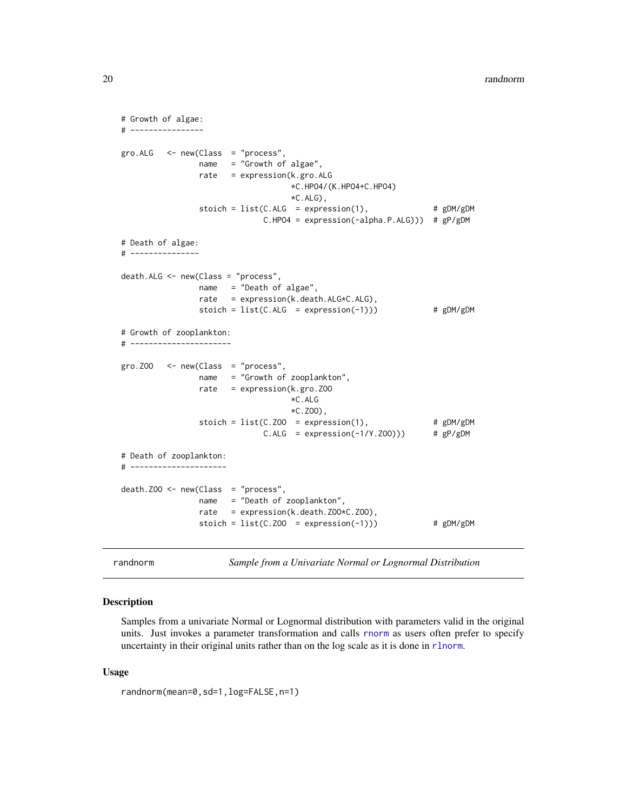```
# Growth of algae:
# ----------------
gro.ALG <- new(Class = "process",
               name = "Growth of algae",
               rate = expression(k.gro.ALG
                                  *C.HPO4/(K.HPO4+C.HPO4)
                                  *C.ALG),
               stoich = list(C.ALG = expression(1), # gDM/gDMC.HPO4 = expression(-alpha.P.ALG))) # gP/gDM
# Death of algae:
# ---------------
death.ALG <- new(Class = "process",
               name = "Death of algae",
               rate = expression(k.death.ALG*C.ALG),
               stoich = list(C.ALG = expression(-1))) # gDM/gDM# Growth of zooplankton:
# ----------------------
gro.ZOO <- new(Class = "process",
               name = "Growth of zooplankton",
               rate = expression(k.gro.ZOO
                                  *C.ALG
                                  *C.ZOO),
                stoich = list(C.Z00 = expression(1), # gDM/gDMC.ALG = expression(-1/Y.ZOO))) # gP/gDM
# Death of zooplankton:
# ---------------------
death. Z00 \leq new(Class = "process",name = "Death of zooplankton",
               rate = expression(k.death.ZOO*C.ZOO),
               stoich = list(C.Z00 = expression(-1))) # gDM/gDM
```
<span id="page-19-1"></span>randnorm *Sample from a Univariate Normal or Lognormal Distribution*

# Description

Samples from a univariate Normal or Lognormal distribution with parameters valid in the original units. Just invokes a parameter transformation and calls [rnorm](#page-0-0) as users often prefer to specify uncertainty in their original units rather than on the log scale as it is done in [rlnorm](#page-0-0).

#### Usage

```
randnorm(mean=0,sd=1,log=FALSE,n=1)
```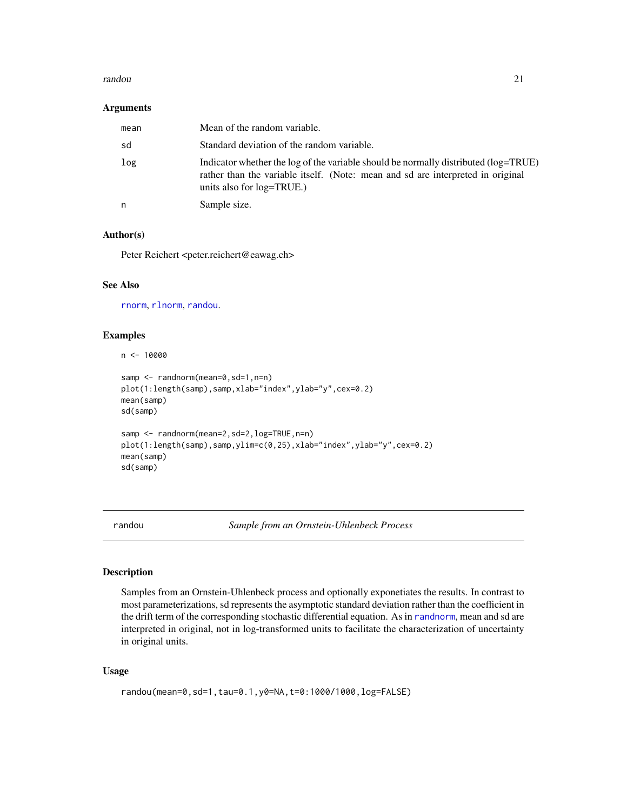#### <span id="page-20-0"></span>randou and the contract of the contract of the contract of the contract of the contract of the contract of the contract of the contract of the contract of the contract of the contract of the contract of the contract of the

#### Arguments

| mean | Mean of the random variable.                                                                                                                                                                           |
|------|--------------------------------------------------------------------------------------------------------------------------------------------------------------------------------------------------------|
| sd   | Standard deviation of the random variable.                                                                                                                                                             |
| log  | Indicator whether the log of the variable should be normally distributed (log=TRUE)<br>rather than the variable itself. (Note: mean and sd are interpreted in original<br>units also for $log=TRUE$ .) |
| n    | Sample size.                                                                                                                                                                                           |

# Author(s)

Peter Reichert <peter.reichert@eawag.ch>

# See Also

[rnorm](#page-0-0), [rlnorm](#page-0-0), [randou](#page-20-1).

# Examples

 $n < - 10000$ 

```
samp <- randnorm(mean=0,sd=1,n=n)
plot(1:length(samp),samp,xlab="index",ylab="y",cex=0.2)
mean(samp)
sd(samp)
samp <- randnorm(mean=2,sd=2,log=TRUE,n=n)
plot(1:length(samp),samp,ylim=c(0,25),xlab="index",ylab="y",cex=0.2)
mean(samp)
sd(samp)
```
<span id="page-20-1"></span>randou *Sample from an Ornstein-Uhlenbeck Process*

# Description

Samples from an Ornstein-Uhlenbeck process and optionally exponetiates the results. In contrast to most parameterizations, sd represents the asymptotic standard deviation rather than the coefficient in the drift term of the corresponding stochastic differential equation. As in [randnorm](#page-19-1), mean and sd are interpreted in original, not in log-transformed units to facilitate the characterization of uncertainty in original units.

# Usage

```
randou(mean=0,sd=1,tau=0.1,y0=NA,t=0:1000/1000,log=FALSE)
```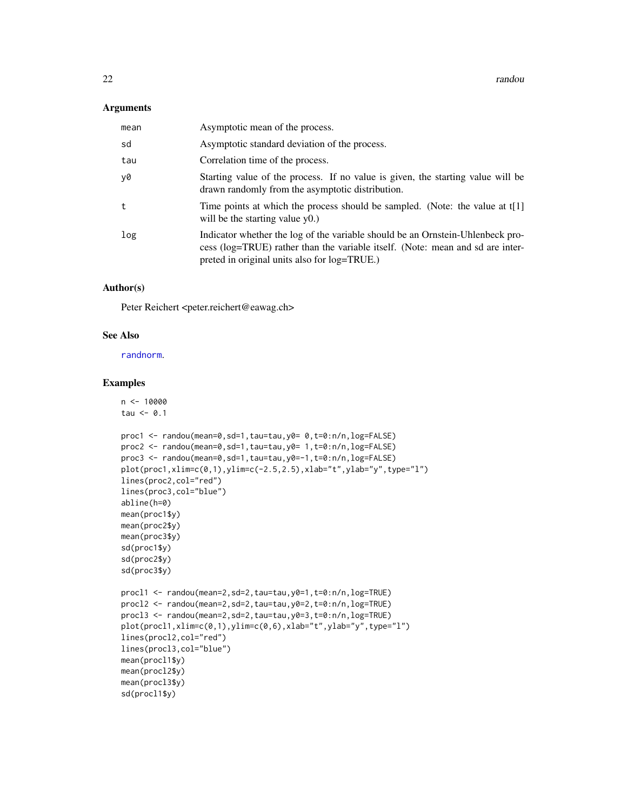#### <span id="page-21-0"></span>Arguments

| mean | Asymptotic mean of the process.                                                                                                                                                                                  |
|------|------------------------------------------------------------------------------------------------------------------------------------------------------------------------------------------------------------------|
| sd   | Asymptotic standard deviation of the process.                                                                                                                                                                    |
| tau  | Correlation time of the process.                                                                                                                                                                                 |
| y0   | Starting value of the process. If no value is given, the starting value will be<br>drawn randomly from the asymptotic distribution.                                                                              |
| t    | Time points at which the process should be sampled. (Note: the value at t[1]<br>will be the starting value $y(0)$ .                                                                                              |
| log  | Indicator whether the log of the variable should be an Ornstein-Uhlenbeck pro-<br>cess (log=TRUE) rather than the variable itself. (Note: mean and sd are inter-<br>preted in original units also for log=TRUE.) |

# Author(s)

Peter Reichert <peter.reichert@eawag.ch>

# See Also

[randnorm](#page-19-1).

```
n <- 10000
tau <-0.1proc1 <- randou(mean=0,sd=1,tau=tau,y0= 0,t=0:n/n,log=FALSE)
proc2 <- randou(mean=0,sd=1,tau=tau,y0= 1,t=0:n/n,log=FALSE)
proc3 <- randou(mean=0,sd=1,tau=tau,y0=-1,t=0:n/n,log=FALSE)
plot(proc1,xlim=c(0,1),ylim=c(-2.5,2.5),xlab="t",ylab="y",type="l")
lines(proc2,col="red")
lines(proc3,col="blue")
abline(h=0)
mean(proc1$y)
mean(proc2$y)
mean(proc3$y)
sd(proc1$y)
sd(proc2$y)
sd(proc3$y)
procl1 <- randou(mean=2,sd=2,tau=tau,y0=1,t=0:n/n,log=TRUE)
procl2 <- randou(mean=2,sd=2,tau=tau,y0=2,t=0:n/n,log=TRUE)
procl3 <- randou(mean=2,sd=2,tau=tau,y0=3,t=0:n/n,log=TRUE)
plot(procl1,xlim=c(0,1),ylim=c(0,6),xlab="t",ylab="y",type="l")
lines(procl2,col="red")
lines(procl3,col="blue")
mean(procl1$y)
mean(procl2$y)
mean(procl3$y)
sd(procl1$y)
```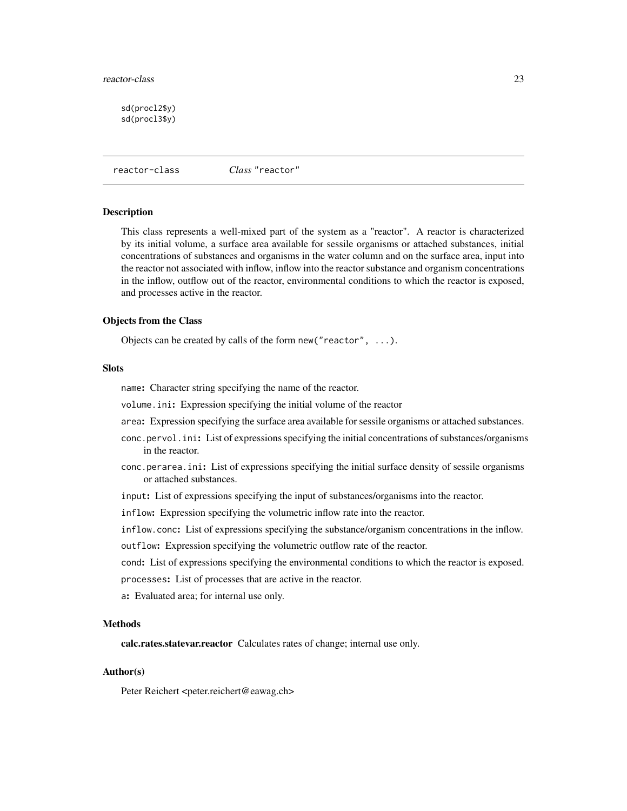#### <span id="page-22-0"></span>reactor-class 23

sd(procl2\$y) sd(procl3\$y)

<span id="page-22-1"></span>reactor-class *Class* "reactor"

### Description

This class represents a well-mixed part of the system as a "reactor". A reactor is characterized by its initial volume, a surface area available for sessile organisms or attached substances, initial concentrations of substances and organisms in the water column and on the surface area, input into the reactor not associated with inflow, inflow into the reactor substance and organism concentrations in the inflow, outflow out of the reactor, environmental conditions to which the reactor is exposed, and processes active in the reactor.

# Objects from the Class

Objects can be created by calls of the form new("reactor", ...).

# **Slots**

name: Character string specifying the name of the reactor.

volume.ini: Expression specifying the initial volume of the reactor

area: Expression specifying the surface area available for sessile organisms or attached substances.

- conc.pervol.ini: List of expressions specifying the initial concentrations of substances/organisms in the reactor.
- conc.perarea.ini: List of expressions specifying the initial surface density of sessile organisms or attached substances.
- input: List of expressions specifying the input of substances/organisms into the reactor.
- inflow: Expression specifying the volumetric inflow rate into the reactor.

inflow.conc: List of expressions specifying the substance/organism concentrations in the inflow.

outflow: Expression specifying the volumetric outflow rate of the reactor.

cond: List of expressions specifying the environmental conditions to which the reactor is exposed.

processes: List of processes that are active in the reactor.

a: Evaluated area; for internal use only.

# Methods

calc.rates.statevar.reactor Calculates rates of change; internal use only.

# Author(s)

Peter Reichert <peter.reichert@eawag.ch>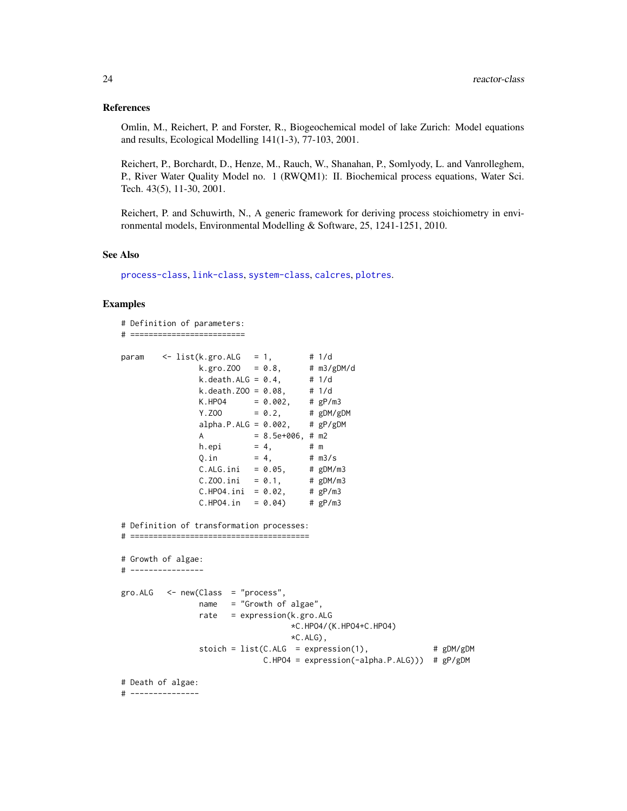#### <span id="page-23-0"></span>References

Omlin, M., Reichert, P. and Forster, R., Biogeochemical model of lake Zurich: Model equations and results, Ecological Modelling 141(1-3), 77-103, 2001.

Reichert, P., Borchardt, D., Henze, M., Rauch, W., Shanahan, P., Somlyody, L. and Vanrolleghem, P., River Water Quality Model no. 1 (RWQM1): II. Biochemical process equations, Water Sci. Tech. 43(5), 11-30, 2001.

Reichert, P. and Schuwirth, N., A generic framework for deriving process stoichiometry in environmental models, Environmental Modelling & Software, 25, 1241-1251, 2010.

#### See Also

[process-class](#page-17-1), [link-class](#page-12-1), [system-class](#page-24-1), [calcres](#page-5-1), [plotres](#page-14-1).

```
# Definition of parameters:
# =========================
param <- list(k.gro.ALG = 1, # 1/d
                k.gro.ZOO = 0.8, # m3/gDM/d
               k. death.ALG = 0.4, # 1/dk. death. Z00 = 0.08, # 1/dK.HPO4 = 0.002, # gP/m3Y. ZOO = 0.2, # gDM/gDMalpha.P.ALG = 0.002, # gP/gDMA = 8.5e+006, # m2
               h.epi = 4, # mQ.in = 4, # m3/sC.ALG.ini = 0.05, # gDM/m3<br>C.Z00.ini = 0.1, # gDM/m3C.ZOO.ini = 0.1, # gDM/m3<br>C.HPO4.ini = 0.02, # gP/m3
               C.HPO4.ini = 0.02,C.HPO4.in = 0.04 # gP/m3# Definition of transformation processes:
# =======================================
# Growth of algae:
# ----------------
gro.ALG < -new(Class = "process",name = "Growth of algae",
               rate = expression(k.gro.ALG
                                  *C.HPO4/(K.HPO4+C.HPO4)
                                  *C.ALG),
               stoich = list(C.ALG = expression(1), # gDM/gDMC.HPO4 = expression(-alpha.P.ALG))) # gP/gDM
# Death of algae:
# ---------------
```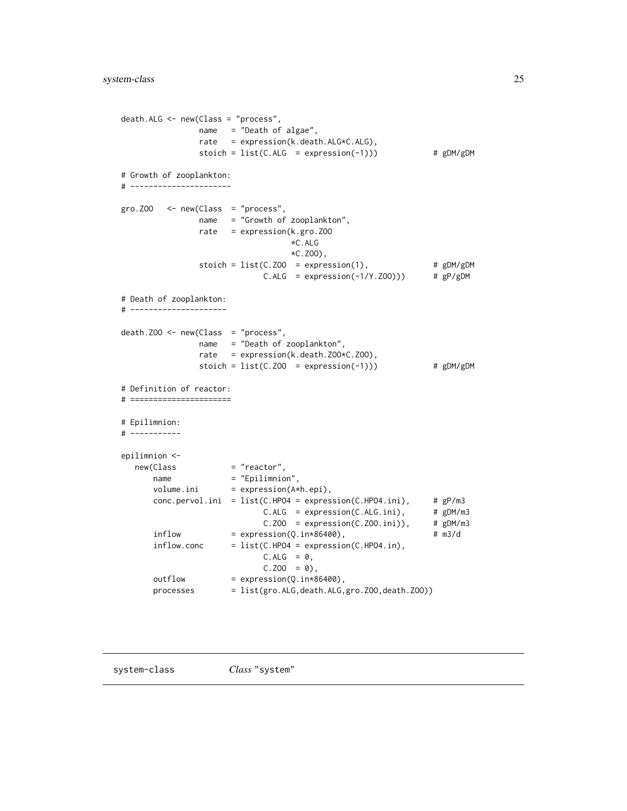```
death.ALG <- new(Class = "process",
              name = "Death of algae",
              rate = expression(k.death.ALG*C.ALG),
              stoich = list(C.ALG = expression(-1))) # gDM/gDM# Growth of zooplankton:
# ----------------------
gro. ZOO < - new(Class = "process",name = "Growth of zooplankton",
              rate = expression(k.gro.ZOO
                                *C.ALG
                                *C.ZOO),
              stoich = list(C.Z00 = expression(1), # gDM/gDMC.ALG = expression(-1/Y.Z00))) # gP/gDM# Death of zooplankton:
# ---------------------
death.ZOO <- new(Class = "process",
              name = "Death of zooplankton",
              rate = expression(k.death.ZOO*C.ZOO),
              stoich = list(C.Z00 = expression(-1))) # gDM/gDM# Definition of reactor:
# ======================
# Epilimnion:
# -----------
epilimnion <-
  new(Class = "reactor",
     name = "Epilimnion",
      volume.ini = expression(A*h.epi),
      conc.pervol.ini = list(C.HPO4 = expression(C.HPO4.ini), # gP/m3
                           C.ALG = expression(C.ALG.ini), # gDM/m3C.Z00 = expression(C.Z00.ini)), # gDM/m3inflow = expression(Q.in*86400), # m3/d
      inflow.conc = list(C.HPO4 = expression(C.HPO4.in),
                           C.ALG = 0,C.Z00 = 0,
      outflow = expression(Q.in*86400),
      processes = list(gro.ALG,death.ALG,gro.ZOO,death.ZOO))
```
<span id="page-24-1"></span>

system-class *Class* "system"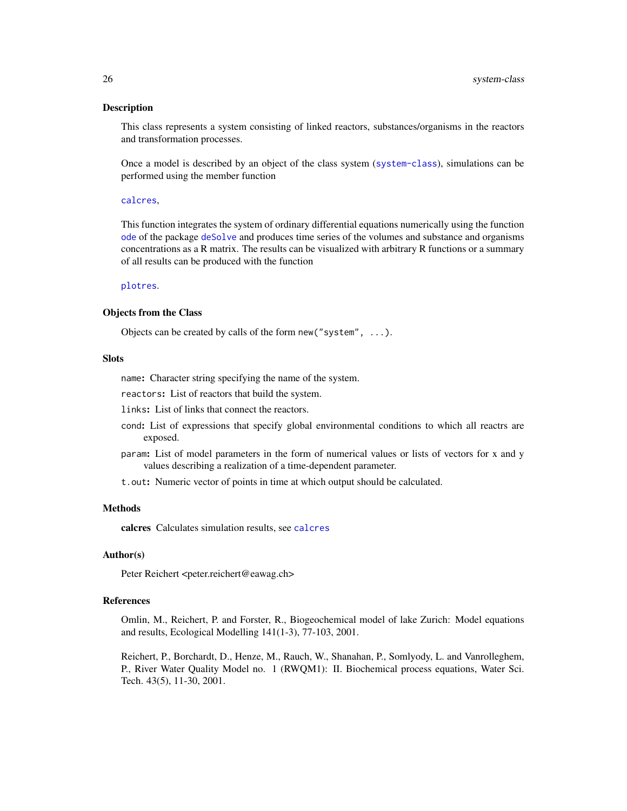# <span id="page-25-0"></span>Description

This class represents a system consisting of linked reactors, substances/organisms in the reactors and transformation processes.

Once a model is described by an object of the class system ([system-class](#page-24-1)), simulations can be performed using the member function

#### [calcres](#page-5-1),

This function integrates the system of ordinary differential equations numerically using the function [ode](#page-0-0) of the package [deSolve](#page-0-0) and produces time series of the volumes and substance and organisms concentrations as a R matrix. The results can be visualized with arbitrary R functions or a summary of all results can be produced with the function

# [plotres](#page-14-1).

# Objects from the Class

Objects can be created by calls of the form new("system", ...).

## Slots

name: Character string specifying the name of the system.

reactors: List of reactors that build the system.

links: List of links that connect the reactors.

- cond: List of expressions that specify global environmental conditions to which all reactrs are exposed.
- param: List of model parameters in the form of numerical values or lists of vectors for x and y values describing a realization of a time-dependent parameter.

t.out: Numeric vector of points in time at which output should be calculated.

# Methods

calcres Calculates simulation results, see [calcres](#page-5-1)

# Author(s)

Peter Reichert <peter.reichert@eawag.ch>

# References

Omlin, M., Reichert, P. and Forster, R., Biogeochemical model of lake Zurich: Model equations and results, Ecological Modelling 141(1-3), 77-103, 2001.

Reichert, P., Borchardt, D., Henze, M., Rauch, W., Shanahan, P., Somlyody, L. and Vanrolleghem, P., River Water Quality Model no. 1 (RWQM1): II. Biochemical process equations, Water Sci. Tech. 43(5), 11-30, 2001.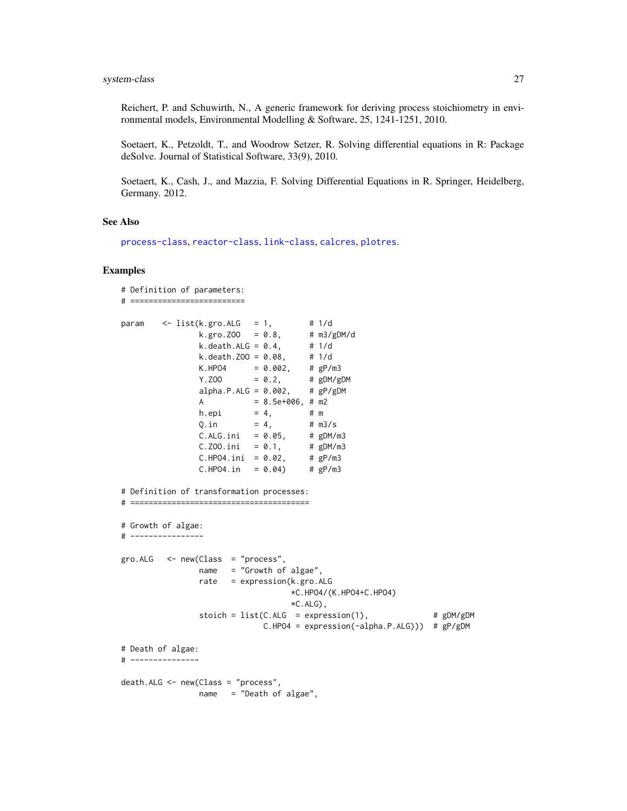<span id="page-26-0"></span>Reichert, P. and Schuwirth, N., A generic framework for deriving process stoichiometry in environmental models, Environmental Modelling & Software, 25, 1241-1251, 2010.

Soetaert, K., Petzoldt, T., and Woodrow Setzer, R. Solving differential equations in R: Package deSolve. Journal of Statistical Software, 33(9), 2010.

Soetaert, K., Cash, J., and Mazzia, F. Solving Differential Equations in R. Springer, Heidelberg, Germany. 2012.

#### See Also

[process-class](#page-17-1), [reactor-class](#page-22-1), [link-class](#page-12-1), [calcres](#page-5-1), [plotres](#page-14-1).

```
# Definition of parameters:
# =========================
param \leq list(k.gro.ALG = 1, # 1/d
               k.gro. ZOO = 0.8, # m3/gDM/d<br>k. death.ALG = 0.4, # 1/dk.death.ALG = 0.4,
               k. death. Z00 = 0.08, # 1/dK.HPO4 = 0.002, # gP/m3Y.ZOO = 0.2, # gDM/gDM
               alpha.P.ALG = 0.002, # gP/gDMA = 8.5e+006, # m2
               h.epi = 4, # m
               0. in = 4, # m3/sC.ALG.ini = 0.05, # gDM/m3C.ZOO.ini = 0.1, # gDM/m3<br>C.HPO4.ini = 0.02, # gP/m3
               C.HPO4.ini = 0.02,C.HPO4.in = 0.04 # gP/m3
# Definition of transformation processes:
# =======================================
# Growth of algae:
# ----------------
gro.ALG < -new(Class = "process",name = "Growth of algae",
               rate = expression(k.gro.ALG
                                  *C.HPO4/(K.HPO4+C.HPO4)
                                  *C.ALG,
               stoich = list(C.ALG = expression(1), # gDM/gDM
                            C.HPO4 = expression(-alpha.P.ALG))) # gP/gDM
# Death of algae:
# ---------------
death.ALG <- new(Class = "process",
               name = "Death of algae",
```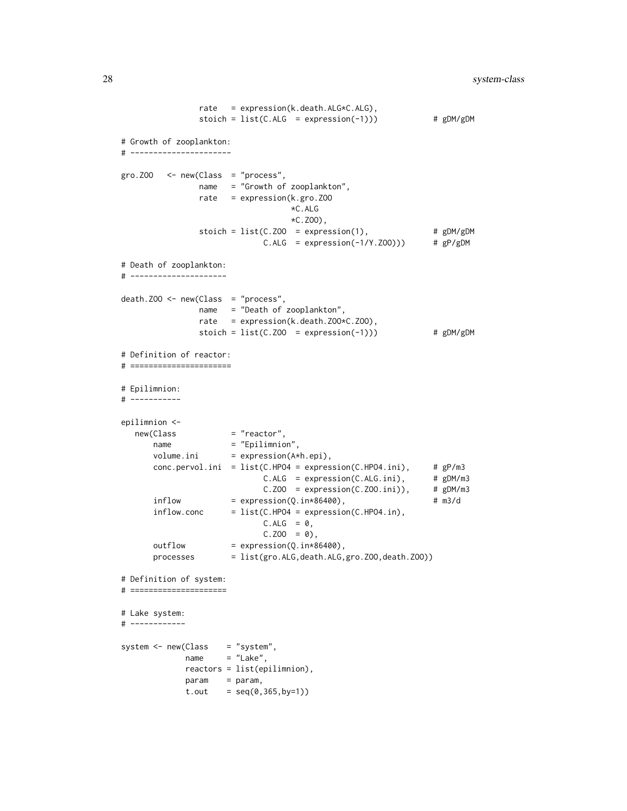```
rate = expression(k.death.ALG*C.ALG),
               stoich = list(C.ALG = expression(-1))) # gDM/gDM# Growth of zooplankton:
# ----------------------
gro. Z00 < - new(Class = "process",name = "Growth of zooplankton",
               rate = expression(k.gro.ZOO
                                *C.ALG
                                *C.ZOO),
               stoich = list(C.Z00 = expression(1), # gDM/gDMC.ALG = expression(-1/Y.Z00)) # gP/gDM# Death of zooplankton:
# ---------------------
death.ZOO <- new(Class = "process",
               name = "Death of zooplankton",
               rate = expression(k.death.ZOO*C.ZOO),
               stoich = list(C.Z00 = expression(-1))) # gDM/gDM# Definition of reactor:
# ======================
# Epilimnion:
# -----------
epilimnion <-
  new(Class = "reactor",
      name = "Epilimnion",
      volume.ini = expression(A*h.epi),
      conc.pervol.ini = list(C.HPO4 = expression(C.HPO4.ini), # gP/m3
                           C.ALG = expression(C.ALG.ini), # gDM/m3C.Z00 = expression(C.Z00.ini)), # gDM/m3inflow = expression(Q.in*86400), # m3/dinflow.conc = list(C.HPO4 = expression(C.HPO4.in),C.ALG = 0,C.Z00 = 0,
      outflow = expression(Q.in*86400),
      processes = list(gro.ALG,death.ALG,gro.ZOO,death.ZOO))
# Definition of system:
# =====================
# Lake system:
# ------------
system <- new(Class = "system",
            name = "Lake",
            reactors = list(epilimnion),
            param = param,
            t.out = seq(0, 365, by=1))
```